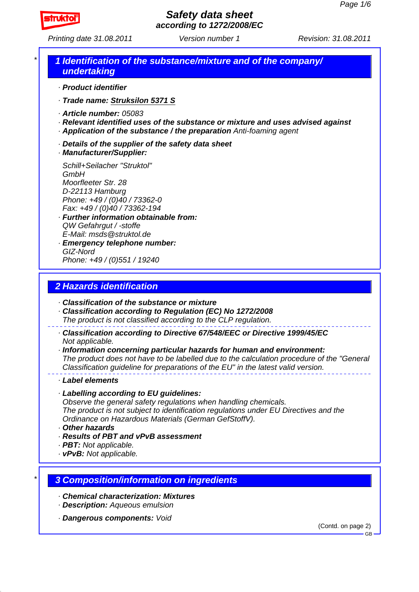

*Printing date 31.08.2011 Revision: 31.08.2011 Version number 1*

### *\* 1 Identification of the substance/mixture and of the company/ undertaking*

- *· Product identifier*
- *· Trade name: Struksilon 5371 S*
- *· Article number: 05083*
- *· Relevant identified uses of the substance or mixture and uses advised against · Application of the substance / the preparation Anti-foaming agent*
- 
- *· Details of the supplier of the safety data sheet*
- *· Manufacturer/Supplier:*

*Schill+Seilacher "Struktol" GmbH Moorfleeter Str. 28 D-22113 Hamburg Phone: +49 / (0)40 / 73362-0 Fax: +49 / (0)40 / 73362-194*

- *· Further information obtainable from: QW Gefahrgut / -stoffe E-Mail: msds@struktol.de*
- *· Emergency telephone number: GIZ-Nord Phone: +49 / (0)551 / 19240*

## *2 Hazards identification*

- *· Classification of the substance or mixture*
- *· Classification according to Regulation (EC) No 1272/2008*
- *The product is not classified according to the CLP regulation.*
- *· Classification according to Directive 67/548/EEC or Directive 1999/45/EC Not applicable.*

*· Information concerning particular hazards for human and environment: The product does not have to be labelled due to the calculation procedure of the "General Classification guideline for preparations of the EU" in the latest valid version.*

#### *· Label elements*

*· Labelling according to EU guidelines:*

*Observe the general safety regulations when handling chemicals.*

*The product is not subject to identification regulations under EU Directives and the Ordinance on Hazardous Materials (German GefStoffV).*

- *· Other hazards*
- *· Results of PBT and vPvB assessment*
- *· PBT: Not applicable.*
- *· vPvB: Not applicable.*

### *\* 3 Composition/information on ingredients*

- *· Chemical characterization: Mixtures*
- *· Description: Aqueous emulsion*
- *· Dangerous components: Void*

(Contd. on page 2)

GB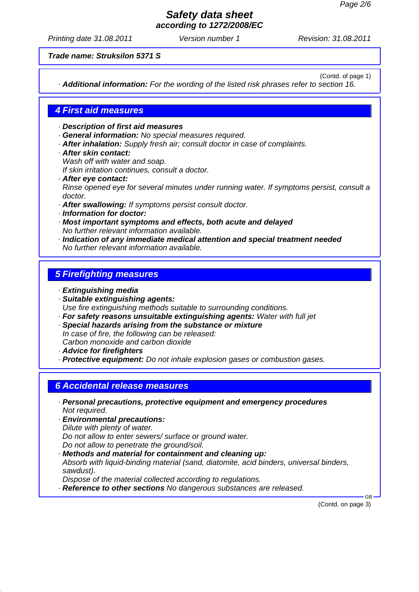*Printing date 31.08.2011 Revision: 31.08.2011 Version number 1*

*Trade name: Struksilon 5371 S*

(Contd. of page 1)

*· Additional information: For the wording of the listed risk phrases refer to section 16.*

### *4 First aid measures*

*· Description of first aid measures*

- *· General information: No special measures required.*
- *· After inhalation: Supply fresh air; consult doctor in case of complaints.*
- *· After skin contact: Wash off with water and soap.*

*If skin irritation continues, consult a doctor.*

- *· After eye contact: Rinse opened eye for several minutes under running water. If symptoms persist, consult a doctor.*
- *· After swallowing: If symptoms persist consult doctor.*
- *· Information for doctor:*
- *· Most important symptoms and effects, both acute and delayed No further relevant information available.*
- *· Indication of any immediate medical attention and special treatment needed No further relevant information available.*

## *5 Firefighting measures*

- *· Extinguishing media*
- *· Suitable extinguishing agents: Use fire extinguishing methods suitable to surrounding conditions.*
- *· For safety reasons unsuitable extinguishing agents: Water with full jet*
- *· Special hazards arising from the substance or mixture In case of fire, the following can be released: Carbon monoxide and carbon dioxide*
- *· Advice for firefighters*

*· Protective equipment: Do not inhale explosion gases or combustion gases.*

### *6 Accidental release measures*

- *· Personal precautions, protective equipment and emergency procedures Not required.*
- *· Environmental precautions: Dilute with plenty of water. Do not allow to enter sewers/ surface or ground water. Do not allow to penetrate the ground/soil.*
- *· Methods and material for containment and cleaning up: Absorb with liquid-binding material (sand, diatomite, acid binders, universal binders, sawdust). Dispose of the material collected according to regulations.*
- *· Reference to other sections No dangerous substances are released.*

(Contd. on page 3)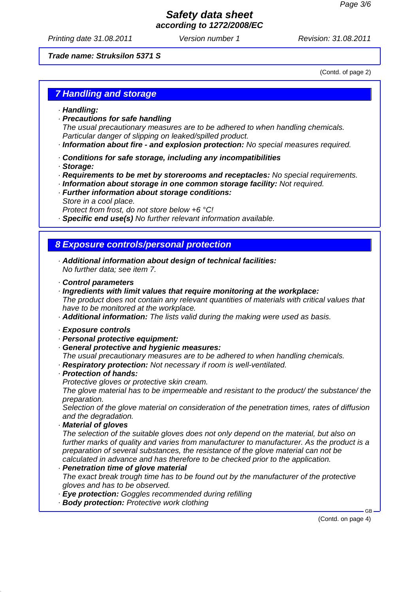*Printing date 31.08.2011 Revision: 31.08.2011 Version number 1*

#### *Trade name: Struksilon 5371 S*

(Contd. of page 2)

### *7 Handling and storage*

- *· Handling:*
- *· Precautions for safe handling*

*The usual precautionary measures are to be adhered to when handling chemicals. Particular danger of slipping on leaked/spilled product.*

- *· Information about fire and explosion protection: No special measures required.*
- *· Conditions for safe storage, including any incompatibilities*
- *· Storage:*
- *· Requirements to be met by storerooms and receptacles: No special requirements.*
- *· Information about storage in one common storage facility: Not required.*
- *· Further information about storage conditions: Store in a cool place.*
	- *Protect from frost, do not store below +6 °C!*
- *· Specific end use(s) No further relevant information available.*

# *8 Exposure controls/personal protection*

- *· Additional information about design of technical facilities: No further data; see item 7.*
- *· Control parameters*
- *· Ingredients with limit values that require monitoring at the workplace:*

*The product does not contain any relevant quantities of materials with critical values that have to be monitored at the workplace.*

*· Additional information: The lists valid during the making were used as basis.*

#### *· Exposure controls*

- *· Personal protective equipment:*
- *· General protective and hygienic measures:*
- *The usual precautionary measures are to be adhered to when handling chemicals.*
- *· Respiratory protection: Not necessary if room is well-ventilated.*

#### *· Protection of hands:*

*Protective gloves or protective skin cream.*

*The glove material has to be impermeable and resistant to the product/ the substance/ the preparation.*

*Selection of the glove material on consideration of the penetration times, rates of diffusion and the degradation.*

#### *· Material of gloves*

*The selection of the suitable gloves does not only depend on the material, but also on further marks of quality and varies from manufacturer to manufacturer. As the product is a preparation of several substances, the resistance of the glove material can not be calculated in advance and has therefore to be checked prior to the application.*

#### *· Penetration time of glove material*

*The exact break trough time has to be found out by the manufacturer of the protective gloves and has to be observed.*

- *· Eye protection: Goggles recommended during refilling*
- *· Body protection: Protective work clothing*

(Contd. on page 4)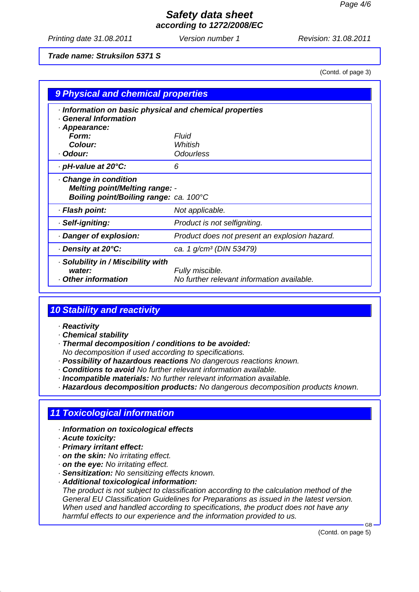*Printing date 31.08.2011 Revision: 31.08.2011 Version number 1*

#### *Trade name: Struksilon 5371 S*

(Contd. of page 3)

| 9 Physical and chemical properties                                                                     |                                                               |  |
|--------------------------------------------------------------------------------------------------------|---------------------------------------------------------------|--|
| Information on basic physical and chemical properties<br><b>General Information</b>                    |                                                               |  |
| · Appearance:                                                                                          |                                                               |  |
| Form:                                                                                                  | Fluid                                                         |  |
| Colour:                                                                                                | Whitish                                                       |  |
| · Odour:                                                                                               | <b>Odourless</b>                                              |  |
| ⋅ pH-value at 20°C:                                                                                    | 6                                                             |  |
| Change in condition<br><b>Melting point/Melting range: -</b><br>Boiling point/Boiling range: ca. 100°C |                                                               |  |
| · Flash point:                                                                                         | Not applicable.                                               |  |
| · Self-igniting:                                                                                       | Product is not selfigniting.                                  |  |
| · Danger of explosion:                                                                                 | Product does not present an explosion hazard.                 |  |
| ⋅ Density at 20°C:                                                                                     | ca. 1 g/cm <sup>3</sup> (DIN 53479)                           |  |
| Solubility in / Miscibility with<br>water:<br>Other information                                        | Fully miscible.<br>No further relevant information available. |  |

# *10 Stability and reactivity*

#### *· Reactivity*

- *· Chemical stability*
- *· Thermal decomposition / conditions to be avoided:*
- *No decomposition if used according to specifications.*
- *· Possibility of hazardous reactions No dangerous reactions known.*
- *· Conditions to avoid No further relevant information available.*
- *· Incompatible materials: No further relevant information available.*
- *· Hazardous decomposition products: No dangerous decomposition products known.*

### *11 Toxicological information*

- *· Information on toxicological effects*
- *· Acute toxicity:*
- *· Primary irritant effect:*
- *· on the skin: No irritating effect.*
- *· on the eye: No irritating effect.*
- *· Sensitization: No sensitizing effects known.*
- *· Additional toxicological information:*

*The product is not subject to classification according to the calculation method of the General EU Classification Guidelines for Preparations as issued in the latest version. When used and handled according to specifications, the product does not have any harmful effects to our experience and the information provided to us.*

(Contd. on page 5)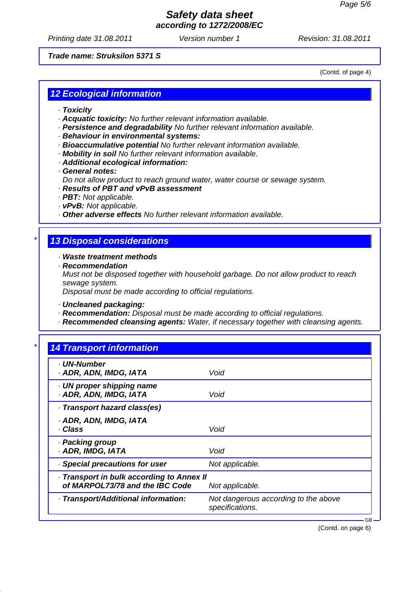*Printing date 31.08.2011 Revision: 31.08.2011 Version number 1*

#### *Trade name: Struksilon 5371 S*

(Contd. of page 4)

# *12 Ecological information*

- *· Toxicity*
- *· Acquatic toxicity: No further relevant information available.*
- *· Persistence and degradability No further relevant information available.*
- *· Behaviour in environmental systems:*
- *· Bioaccumulative potential No further relevant information available.*
- *· Mobility in soil No further relevant information available.*
- *· Additional ecological information:*
- *· General notes:*
- *Do not allow product to reach ground water, water course or sewage system.*
- *· Results of PBT and vPvB assessment*
- *· PBT: Not applicable.*
- *· vPvB: Not applicable.*
- *· Other adverse effects No further relevant information available.*

#### *\* 13 Disposal considerations*

*· Waste treatment methods*

*· Recommendation*

*Must not be disposed together with household garbage. Do not allow product to reach sewage system.*

*Disposal must be made according to official regulations.*

*· Uncleaned packaging:*

- *· Recommendation: Disposal must be made according to official regulations.*
- *· Recommended cleansing agents: Water, if necessary together with cleansing agents.*

| · UN-Number                             |                                                         |
|-----------------------------------------|---------------------------------------------------------|
| · ADR, ADN, IMDG, IATA                  | Void                                                    |
| UN proper shipping name                 |                                                         |
| · ADR, ADN, IMDG, IATA                  | Void                                                    |
| · Transport hazard class(es)            |                                                         |
| · ADR, ADN, IMDG, IATA                  |                                                         |
| · Class                                 | Void                                                    |
| · Packing group                         |                                                         |
| · ADR, IMDG, IATA                       | Void                                                    |
| · Special precautions for user          | Not applicable.                                         |
| Transport in bulk according to Annex II |                                                         |
| of MARPOL73/78 and the IBC Code         | Not applicable.                                         |
| · Transport/Additional information:     | Not dangerous according to the above<br>specifications. |

(Contd. on page 6)